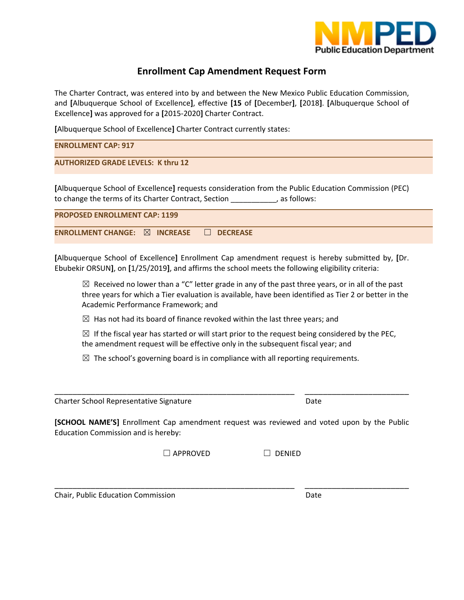

# **Enrollment Cap Amendment Request Form**

The Charter Contract, was entered into by and between the New Mexico Public Education Commission, and **[**Albuquerque School of Excellence**]**, effective **[15** of **[**December**]**, **[**2018**]**. **[**Albuquerque School of Excellence**]** was approved for a **[**2015‐2020**]** Charter Contract.

**[**Albuquerque School of Excellence**]** Charter Contract currently states:

| <b>ENROLLMENT CAP: 917</b>                |
|-------------------------------------------|
| <b>AUTHORIZED GRADE LEVELS: K thru 12</b> |
|                                           |

**[**Albuquerque School of Excellence**]** requests consideration from the Public Education Commission (PEC) to change the terms of its Charter Contract, Section \_\_\_\_\_\_\_\_\_\_\_, as follows:

| <b>PROPOSED ENROLLMENT CAP: 1199</b>                    |  |  |  |  |  |  |  |  |
|---------------------------------------------------------|--|--|--|--|--|--|--|--|
| ENROLLMENT CHANGE: $\boxtimes$ INCREASE $\Box$ DECREASE |  |  |  |  |  |  |  |  |

**[**Albuquerque School of Excellence**]** Enrollment Cap amendment request is hereby submitted by, **[**Dr. Ebubekir ORSUN**]**, on **[**1/25/2019**]**, and affirms the school meets the following eligibility criteria:

 $\boxtimes$  Received no lower than a "C" letter grade in any of the past three years, or in all of the past three years for which a Tier evaluation is available, have been identified as Tier 2 or better in the Academic Performance Framework; and

 $\boxtimes$  Has not had its board of finance revoked within the last three years; and

 $\boxtimes$  If the fiscal year has started or will start prior to the request being considered by the PEC, the amendment request will be effective only in the subsequent fiscal year; and

 $\boxtimes$  The school's governing board is in compliance with all reporting requirements.

Charter School Representative Signature *Date*  **Example 20** Date

**[SCHOOL NAME'S]** Enrollment Cap amendment request was reviewed and voted upon by the Public Education Commission and is hereby:

\_\_\_\_\_\_\_\_\_\_\_\_\_\_\_\_\_\_\_\_\_\_\_\_\_\_\_\_\_\_\_\_\_\_\_\_\_\_\_\_\_\_\_\_\_\_\_\_\_\_\_\_\_ \_\_\_\_\_\_\_\_\_\_\_\_\_\_\_\_\_\_\_\_\_\_\_

\_\_\_\_\_\_\_\_\_\_\_\_\_\_\_\_\_\_\_\_\_\_\_\_\_\_\_\_\_\_\_\_\_\_\_\_\_\_\_\_\_\_\_\_\_\_\_\_\_\_\_\_\_ \_\_\_\_\_\_\_\_\_\_\_\_\_\_\_\_\_\_\_\_\_\_\_

 $\Box$  APPROVED  $\Box$  DENIED

Chair, Public Education Commission Date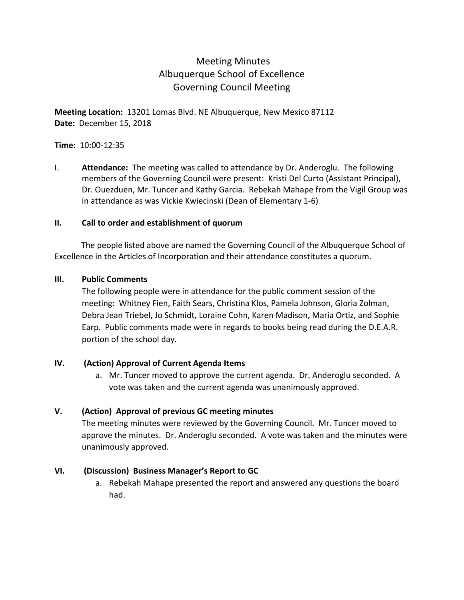# Meeting Minutes Albuquerque School of Excellence Governing Council Meeting

**Meeting Location:** 13201 Lomas Blvd. NE Albuquerque, New Mexico 87112 **Date:** December 15, 2018

## **Time:** 10:00-12:35

I. **Attendance:** The meeting was called to attendance by Dr. Anderoglu. The following members of the Governing Council were present: Kristi Del Curto (Assistant Principal), Dr. Ouezduen, Mr. Tuncer and Kathy Garcia. Rebekah Mahape from the Vigil Group was in attendance as was Vickie Kwiecinski (Dean of Elementary 1-6)

## **II. Call to order and establishment of quorum**

 The people listed above are named the Governing Council of the Albuquerque School of Excellence in the Articles of Incorporation and their attendance constitutes a quorum.

## **III. Public Comments**

The following people were in attendance for the public comment session of the meeting: Whitney Fien, Faith Sears, Christina Klos, Pamela Johnson, Gloria Zolman, Debra Jean Triebel, Jo Schmidt, Loraine Cohn, Karen Madison, Maria Ortiz, and Sophie Earp. Public comments made were in regards to books being read during the D.E.A.R. portion of the school day.

## **IV. (Action) Approval of Current Agenda Items**

a. Mr. Tuncer moved to approve the current agenda. Dr. Anderoglu seconded. A vote was taken and the current agenda was unanimously approved.

## **V. (Action) Approval of previous GC meeting minutes**

The meeting minutes were reviewed by the Governing Council. Mr. Tuncer moved to approve the minutes. Dr. Anderoglu seconded. A vote was taken and the minutes were unanimously approved.

## **VI. (Discussion) Business Manager's Report to GC**

a. Rebekah Mahape presented the report and answered any questions the board had.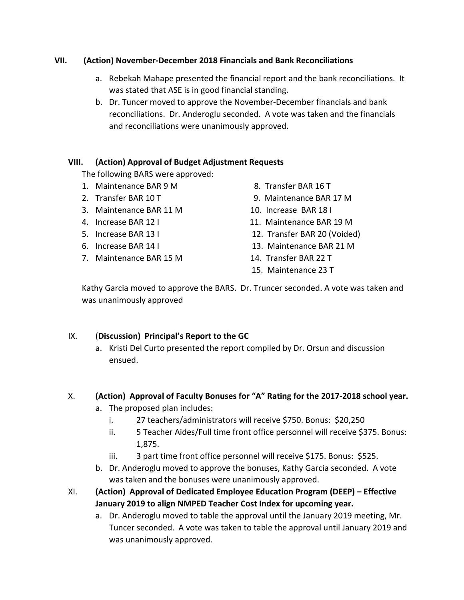## **VII. (Action) November-December 2018 Financials and Bank Reconciliations**

- a. Rebekah Mahape presented the financial report and the bank reconciliations. It was stated that ASE is in good financial standing.
- b. Dr. Tuncer moved to approve the November-December financials and bank reconciliations. Dr. Anderoglu seconded. A vote was taken and the financials and reconciliations were unanimously approved.

## **VIII. (Action) Approval of Budget Adjustment Requests**

The following BARS were approved:

- 1. Maintenance BAR 9 M 8. Transfer BAR 16 T
- 
- 3. Maintenance BAR 11 M 10. Increase BAR 18 I
- 
- 
- 
- 7. Maintenance BAR 15 M 14. Transfer BAR 22 T
- 
- 2. Transfer BAR 10 T FRAME CONTROLLER STATES AND THE STATE STAR 17 M
	-
- 4. Increase BAR 12 I 11. Maintenance BAR 19 M
- 5. Increase BAR 13 I 12. Transfer BAR 20 (Voided)
- 6. Increase BAR 14 I 13. Maintenance BAR 21 M
	-
	- 15. Maintenance 23 T

Kathy Garcia moved to approve the BARS. Dr. Truncer seconded. A vote was taken and was unanimously approved

## IX. (**Discussion) Principal's Report to the GC**

a. Kristi Del Curto presented the report compiled by Dr. Orsun and discussion ensued.

## X. **(Action) Approval of Faculty Bonuses for "A" Rating for the 2017-2018 school year.**

- a. The proposed plan includes:
	- i. 27 teachers/administrators will receive \$750. Bonus: \$20,250
	- ii. 5 Teacher Aides/Full time front office personnel will receive \$375. Bonus: 1,875.
	- iii. 3 part time front office personnel will receive \$175. Bonus: \$525.
- b. Dr. Anderoglu moved to approve the bonuses, Kathy Garcia seconded. A vote was taken and the bonuses were unanimously approved.
- XI. **(Action) Approval of Dedicated Employee Education Program (DEEP) – Effective January 2019 to align NMPED Teacher Cost Index for upcoming year.**
	- a. Dr. Anderoglu moved to table the approval until the January 2019 meeting, Mr. Tuncer seconded. A vote was taken to table the approval until January 2019 and was unanimously approved.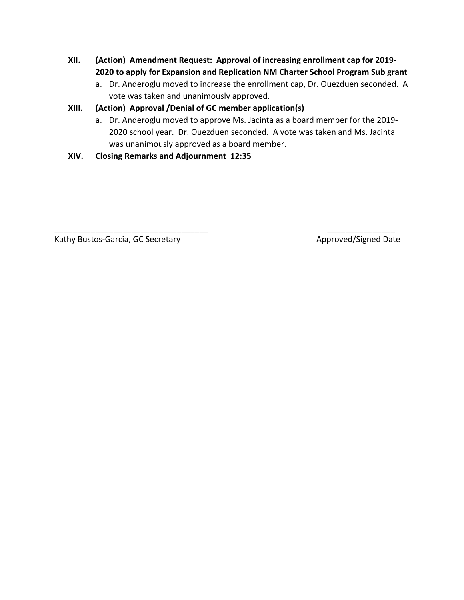- **XII. (Action) Amendment Request: Approval of increasing enrollment cap for 2019- 2020 to apply for Expansion and Replication NM Charter School Program Sub grant** 
	- a. Dr. Anderoglu moved to increase the enrollment cap, Dr. Ouezduen seconded. A vote was taken and unanimously approved.

## **XIII. (Action) Approval /Denial of GC member application(s)**

a. Dr. Anderoglu moved to approve Ms. Jacinta as a board member for the 2019- 2020 school year. Dr. Ouezduen seconded. A vote was taken and Ms. Jacinta was unanimously approved as a board member.

\_\_\_\_\_\_\_\_\_\_\_\_\_\_\_\_\_\_\_\_\_\_\_\_\_\_\_\_\_\_\_\_\_\_ \_\_\_\_\_\_\_\_\_\_\_\_\_\_\_

**XIV. Closing Remarks and Adjournment 12:35** 

Kathy Bustos-Garcia, GC Secretary Approved/Signed Date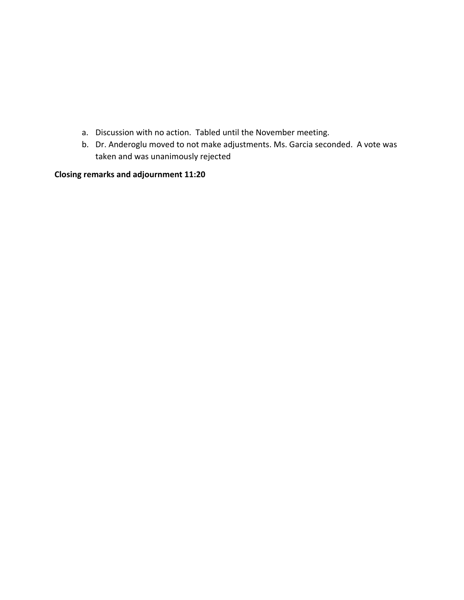- a. Discussion with no action. Tabled until the November meeting.
- b. Dr. Anderoglu moved to not make adjustments. Ms. Garcia seconded. A vote was taken and was unanimously rejected

**Closing remarks and adjournment 11:20**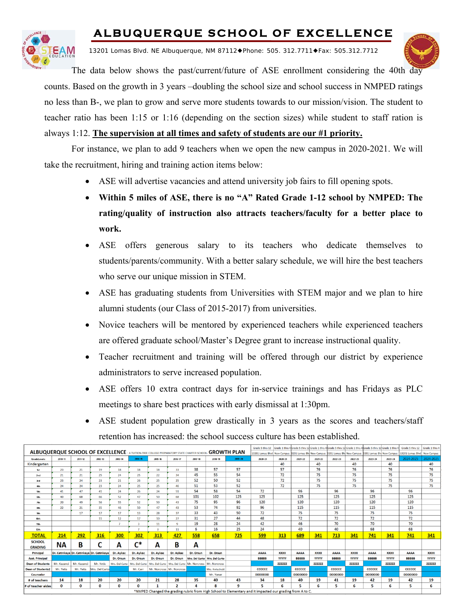# **ALBUQUERQUE SCHOOL OF EXCELLENCE**



13201 Lomas Blvd. NE Albuquerque, NM 87112◆Phone: 505. 312.7711◆Fax: 505.312.7712



The data below shows the past/current/future of ASE enrollment considering the 40th day counts. Based on the growth in 3 years –doubling the school size and school success in NMPED ratings no less than B-, we plan to grow and serve more students towards to our mission/vision. The student to teacher ratio has been 1:15 or 1:16 (depending on the section sizes) while student to staff ration is always 1:12. **The supervision at all times and safety of students are our #1 priority.** 

For instance, we plan to add 9 teachers when we open the new campus in 2020-2021. We will take the recruitment, hiring and training action items below:

- ASE will advertise vacancies and attend university job fairs to fill opening spots.
- **Within 5 miles of ASE, there is no "A" Rated Grade 1-12 school by NMPED: The rating/quality of instruction also attracts teachers/faculty for a better place to work.**
- ASE offers generous salary to its teachers who dedicate themselves to students/parents/community. With a better salary schedule, we will hire the best teachers who serve our unique mission in STEM.
- ASE has graduating students from Universities with STEM major and we plan to hire alumni students (our Class of 2015-2017) from universities.
- Novice teachers will be mentored by experienced teachers while experienced teachers are offered graduate school/Master's Degree grant to increase instructional quality.
- Teacher recruitment and training will be offered through our district by experience administrators to serve increased population.
- ASE offers 10 extra contract days for in-service trainings and has Fridays as PLC meetings to share best practices with early dismissal at 1:30pm.
- ASE student population grew drastically in 3 years as the scores and teachers/staff retention has increased: the school success culture has been established.

<u>Louis sur dous curredous sur dous curredous sur dous curredous sur el outre un d</u>

| ALBUQUERQUE SCHOOL OF EXCELLENCE - A TUITION-FREE COLLEGE PREPARATORY STATE CHARTER SCHOOL- GROWTH PLAN |             |             |                                           |                |                |                           |              |                                                               |                                 |                                                                                                           |                                                                                                           |              |                |              |                |              |                |              |                             |              |
|---------------------------------------------------------------------------------------------------------|-------------|-------------|-------------------------------------------|----------------|----------------|---------------------------|--------------|---------------------------------------------------------------|---------------------------------|-----------------------------------------------------------------------------------------------------------|-----------------------------------------------------------------------------------------------------------|--------------|----------------|--------------|----------------|--------------|----------------|--------------|-----------------------------|--------------|
|                                                                                                         |             |             |                                           |                |                |                           |              |                                                               |                                 |                                                                                                           | 13201 Lomas Blvd New Campus B201 Lomas Blv New Campus B201 Lomas Blv New Campus B201 Lomas Blv New Campus |              |                |              |                |              |                |              | 13201 Lomas Blvd New Campus |              |
| <b>GradeLevels</b>                                                                                      | $2010 - 11$ | 2011-12     | 2012-13                                   | 2013-14        | $2014 - 15$    | 2015-16                   | 2016-17      | $2017 - 18$                                                   | 2018-19                         | 2019-20                                                                                                   | $2020 - 21$                                                                                               | 2020-21      | 2021-22        | 2021-22      | 2022-23        | 2022-23      | 2023-24        | $2023 - 24$  | 2024-2025                   | 2024-2025    |
| Kindergarten                                                                                            |             |             |                                           |                |                |                           |              |                                                               |                                 |                                                                                                           |                                                                                                           | 40           |                | 40           |                | 40           |                | 40           |                             | 40           |
| 1st                                                                                                     | 23          | 21          | 19                                        | 18             | 18             | 18                        | 33           | 38                                                            | 57                              | 57                                                                                                        |                                                                                                           | 57           |                | 76           |                | 76           |                | 76           |                             | 76           |
| 2nd                                                                                                     | 21          | 21          | 25                                        | 24             | 25             | 22                        | 34           | 45                                                            | 55                              | 54                                                                                                        |                                                                                                           | 72           |                | 75           |                | 75           |                | 75           |                             | 75           |
| 3rd                                                                                                     | 23          | 24          | 23                                        | 21             | 26             | 25                        | 25           | 52                                                            | 50                              | 52                                                                                                        |                                                                                                           | 72           |                | 75           |                | 75           |                | 75           |                             | 75           |
| 4th                                                                                                     | 24          | 24          | 23                                        | 24             | 25             | 25                        | 46           | 51                                                            | 53                              | 52                                                                                                        |                                                                                                           | 72           |                | 75           |                | 75           |                | 75           |                             | 75           |
| 5th                                                                                                     | 41          | 47          | 41                                        | 24             | 26             | 24                        | 51           | 54                                                            | 58                              | 54                                                                                                        | 72                                                                                                        |              | 96             |              | 96             |              | 96             |              | 96                          |              |
| бth                                                                                                     | 40          | 68          | 66                                        | 52             | 47             | 50                        | 68           | 101                                                           | 102                             | 125                                                                                                       | 125                                                                                                       |              | 125            |              | 125            |              | 125            |              | 125                         |              |
| 7th                                                                                                     | 20          | 49          | 56                                        | 55             | 52             | 50                        | 43           | 75                                                            | 95                              | 96                                                                                                        | 120                                                                                                       |              | 120            |              | 120            |              | 120            |              | 120                         |              |
| 8th                                                                                                     | 22          | 21          | 35                                        | 46             | 50             | 47                        | 43           | 53                                                            | 74                              | 92                                                                                                        | 96                                                                                                        |              | 115            |              | 115            |              | 115            |              | 115                         |              |
| 9th                                                                                                     |             | 17          | 17                                        | 17             | 13             | 28                        | 37           | 33                                                            | 43                              | 50                                                                                                        | 72                                                                                                        |              | 75             |              | 75             |              | 75             |              | 75                          |              |
| 10th                                                                                                    |             |             | 11                                        | 12             | 17             | 10                        | 27           | 31                                                            | 27                              | 44                                                                                                        | 48                                                                                                        |              | 72             |              | 72             |              | 72             |              | 72                          |              |
| 1kh                                                                                                     |             |             |                                           |                |                | 11                        | 9            | 19                                                            | 28                              | 24                                                                                                        | 42                                                                                                        |              | 46             |              | 70             |              | 70             |              | 70                          |              |
| 12th                                                                                                    |             |             |                                           |                |                |                           | 11           | 6                                                             | 16                              | 25                                                                                                        | 24                                                                                                        |              | 40             |              | 40             |              | 68             |              | 68                          |              |
| <b>TOTAL</b>                                                                                            | 214         | 292         | 316                                       | 300            | 302            | 313                       | 427          | 558                                                           | 658                             | 725                                                                                                       | 599                                                                                                       | 313          | 689            | 341          | 713            | 341          | 741            | 341          | 741                         | 341          |
| <b>SCHOOL</b><br><b>GRADING</b>                                                                         | ΝA          | B           |                                           | А              | $\mathsf{C}^*$ | A                         | в            | А                                                             |                                 |                                                                                                           |                                                                                                           |              |                |              |                |              |                |              |                             |              |
| Principal                                                                                               |             |             | Dr. Cetinkaya Dr. Cetinkaya Dr. Cetinkaya | Dr. Aykac      | Dr. Aykac      | Dr. Aykac                 | Dr. Aykac    | Dr. Orsun                                                     | Dr. Orsun                       |                                                                                                           | <b>AAAA</b>                                                                                               | <b>XXXX</b>  | <b>AAAA</b>    | <b>XXXX</b>  | <b>AAAA</b>    | <b>XXXX</b>  | <b>AAAA</b>    | <b>XXXX</b>  | <b>AAAA</b>                 | <b>XXXX</b>  |
| <b>Asst. Principal</b>                                                                                  |             |             |                                           | Dr. Orsun      | Dr. Orsun      | Dr. Orsun                 | Dr. Orsun    |                                                               | Mrs. Del Curto   Mrs. Del Curto |                                                                                                           | <b>BBBBB</b>                                                                                              | <b>YYYYY</b> | <b>BBBBB</b>   | <b>YYYYY</b> | <b>BBBBB</b>   | <b>YYYYY</b> | <b>BBBBB</b>   | <b>YYYYY</b> | <b>BBBBB</b>                | <b>YYYYY</b> |
| <b>Dean of Students</b>                                                                                 | Mr. Kazanci | Mr. Kazanci | Mr. Yetis                                 | Mrs. Del Curto | Mrs. Del Curto |                           |              | Mrs. Del Curto   Mrs. Del Curto   Mr. Norcross   Mr. Norcross |                                 |                                                                                                           |                                                                                                           | 222222       |                | 222222       |                | 222222       |                | 222222       |                             | 222222       |
| <b>Dean of Students2</b>                                                                                | Mr. Yetis   | Mr. Yetis   | Mrs. Del Curto                            |                | Mr. Carr       | Mr. Norcross Mr. Norcross |              |                                                               | Mrs. Kwiecinski                 |                                                                                                           | <b>CCCCCC</b>                                                                                             |              | <b>CCCCCC</b>  |              | <b>CCCCCC</b>  |              | <b>CCCCCC</b>  |              | CCCCCC                      |              |
| Counselor                                                                                               |             |             |                                           |                |                |                           |              |                                                               | Mr. Yanar                       |                                                                                                           | <b>DDDDDDD</b>                                                                                            |              | <b>DDDDDDD</b> |              | <b>DDDDDDD</b> |              | <b>DDDDDDD</b> |              | <b>DDDDDDD</b>              |              |
| # of teachers                                                                                           | 14          | 18          | 20                                        | 20             | 20             | 21                        | 28           | 35                                                            | 40                              | 43                                                                                                        | 34                                                                                                        | 18           | 40             | 19           | 41             | 19           | 42             | 19           | 42                          | 19           |
| # of teacher aides                                                                                      | n           | 0           | O                                         | O              | n              | 1                         | $\mathbf{r}$ |                                                               | 8                               | 9                                                                                                         |                                                                                                           | 6            |                |              | 5              | 6            | 5              | 6            | 5                           | 6            |
|                                                                                                         |             |             |                                           |                |                |                           |              |                                                               |                                 | *NMPED Changed the grading rubric from High School to Elementary and it impacted our grading from A to C. |                                                                                                           |              |                |              |                |              |                |              |                             |              |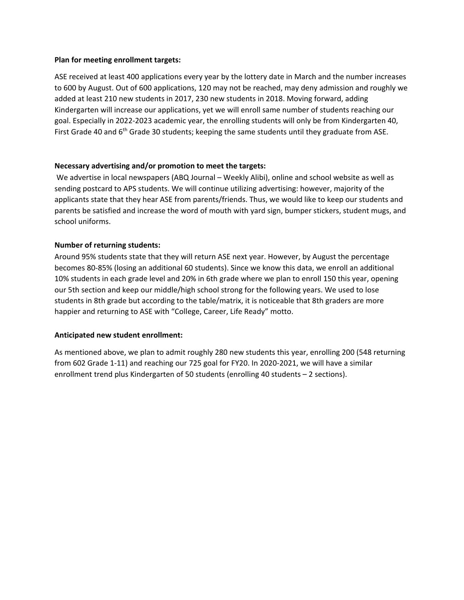#### **Plan for meeting enrollment targets:**

ASE received at least 400 applications every year by the lottery date in March and the number increases to 600 by August. Out of 600 applications, 120 may not be reached, may deny admission and roughly we added at least 210 new students in 2017, 230 new students in 2018. Moving forward, adding Kindergarten will increase our applications, yet we will enroll same number of students reaching our goal. Especially in 2022-2023 academic year, the enrolling students will only be from Kindergarten 40, First Grade 40 and  $6<sup>th</sup>$  Grade 30 students; keeping the same students until they graduate from ASE.

#### **Necessary advertising and/or promotion to meet the targets:**

We advertise in local newspapers (ABQ Journal – Weekly Alibi), online and school website as well as sending postcard to APS students. We will continue utilizing advertising: however, majority of the applicants state that they hear ASE from parents/friends. Thus, we would like to keep our students and parents be satisfied and increase the word of mouth with yard sign, bumper stickers, student mugs, and school uniforms.

### **Number of returning students:**

Around 95% students state that they will return ASE next year. However, by August the percentage becomes 80-85% (losing an additional 60 students). Since we know this data, we enroll an additional 10% students in each grade level and 20% in 6th grade where we plan to enroll 150 this year, opening our 5th section and keep our middle/high school strong for the following years. We used to lose students in 8th grade but according to the table/matrix, it is noticeable that 8th graders are more happier and returning to ASE with "College, Career, Life Ready" motto.

#### **Anticipated new student enrollment:**

As mentioned above, we plan to admit roughly 280 new students this year, enrolling 200 (548 returning from 602 Grade 1-11) and reaching our 725 goal for FY20. In 2020-2021, we will have a similar enrollment trend plus Kindergarten of 50 students (enrolling 40 students – 2 sections).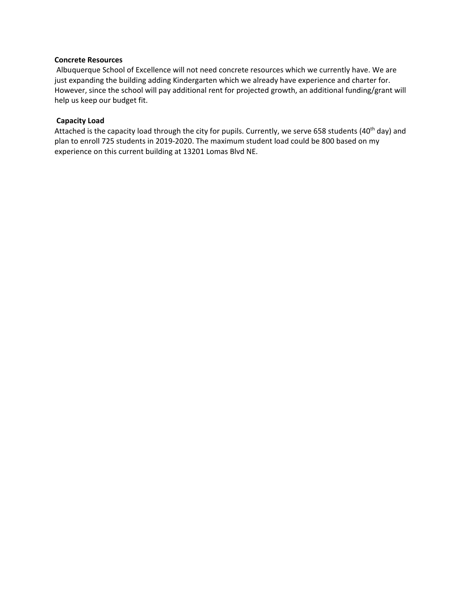#### **Concrete Resources**

Albuquerque School of Excellence will not need concrete resources which we currently have. We are just expanding the building adding Kindergarten which we already have experience and charter for. However, since the school will pay additional rent for projected growth, an additional funding/grant will help us keep our budget fit.

#### **Capacity Load**

Attached is the capacity load through the city for pupils. Currently, we serve 658 students (40<sup>th</sup> day) and plan to enroll 725 students in 2019-2020. The maximum student load could be 800 based on my experience on this current building at 13201 Lomas Blvd NE.